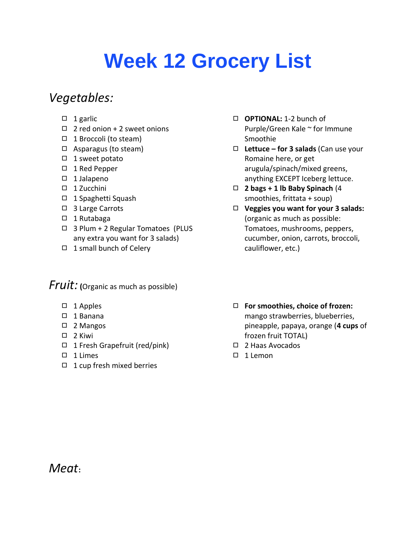# **Week 12 Grocery List**

### *Vegetables:*

- $\Box$  1 garlic
- ◻ 2 red onion + 2 sweet onions
- ◻ 1 Broccoli (to steam)
- ◻ Asparagus (to steam)
- ◻ 1 sweet potato
- ◻ 1 Red Pepper
- ◻ 1 Jalapeno
- ◻ 1 Zucchini
- ◻ 1 Spaghetti Squash
- ◻ 3 Large Carrots
- ◻ 1 Rutabaga
- ◻ 3 Plum + 2 Regular Tomatoes (PLUS any extra you want for 3 salads)
- ◻ 1 small bunch of Celery

#### *Fruit:* **(**Organic as much as possible)

- ◻ 1 Apples
- ◻ 1 Banana
- ◻ 2 Mangos
- ◻ 2 Kiwi
- ◻ 1 Fresh Grapefruit (red/pink)
- ◻ 1 Limes
- ◻ 1 cup fresh mixed berries
- ◻ **OPTIONAL:** 1-2 bunch of Purple/Green Kale ~ for Immune Smoothie
- ◻ **Lettuce – for 3 salads** (Can use your Romaine here, or get arugula/spinach/mixed greens, anything EXCEPT Iceberg lettuce.
- ◻ **2 bags + 1 lb Baby Spinach** (4 smoothies, frittata + soup)
- ◻ **Veggies you want for your 3 salads:** (organic as much as possible: Tomatoes, mushrooms, peppers, cucumber, onion, carrots, broccoli, cauliflower, etc.)
- ◻ **For smoothies, choice of frozen:** mango strawberries, blueberries, pineapple, papaya, orange (**4 cups** of frozen fruit TOTAL)
- ◻ 2 Haas Avocados
- ◻ 1 Lemon

*Meat***:**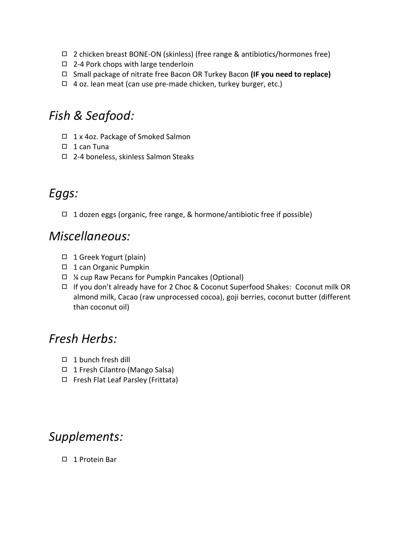- ◻ 2 chicken breast BONE-ON (skinless) (free range & antibiotics/hormones free)
- ◻ 2-4 Pork chops with large tenderloin
- ◻ Small package of nitrate free Bacon OR Turkey Bacon **(IF you need to replace)**
- $\Box$  4 oz. lean meat (can use pre-made chicken, turkey burger, etc.)

### *Fish & Seafood:*

- ◻ 1 x 4oz. Package of Smoked Salmon
- ◻ 1 can Tuna
- ◻ 2-4 boneless, skinless Salmon Steaks

# *Eggs:*

◻ 1 dozen eggs (organic, free range, & hormone/antibiotic free if possible)

#### *Miscellaneous:*

- ◻ 1 Greek Yogurt (plain)
- ◻ 1 can Organic Pumpkin
- ◻ ¼ cup Raw Pecans for Pumpkin Pancakes (Optional)
- ◻ If you don't already have for 2 Choc & Coconut Superfood Shakes:Coconut milk OR almond milk, Cacao (raw unprocessed cocoa), goji berries, coconut butter (different than coconut oil)

### *Fresh Herbs:*

- ◻ 1 bunch fresh dill
- ◻ 1 Fresh Cilantro (Mango Salsa)
- ◻ Fresh Flat Leaf Parsley (Frittata)

## *Supplements:*

◻ 1 Protein Bar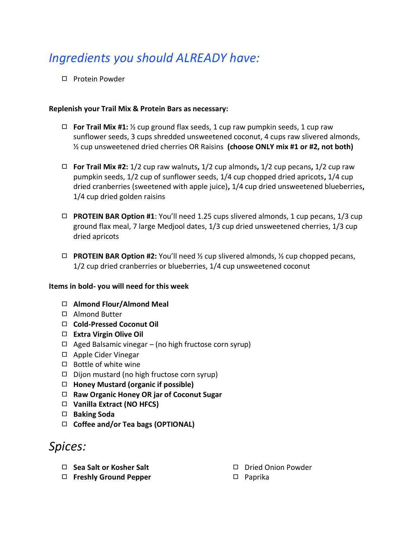# *Ingredients you should ALREADY have:*

◻ Protein Powder

#### **Replenish your Trail Mix & Protein Bars as necessary:**

- ◻ **For Trail Mix #1:** ½ cup ground flax seeds, 1 cup raw pumpkin seeds, 1 cup raw sunflower seeds, 3 cups shredded unsweetened coconut, 4 cups raw slivered almonds, ½ cup unsweetened dried cherries OR Raisins **(choose ONLY mix #1 or #2, not both)**
- ◻ **For Trail Mix #2:** 1/2 cup raw walnuts**,** 1/2 cup almonds**,** 1/2 cup pecans**,** 1/2 cup raw pumpkin seeds, 1/2 cup of sunflower seeds, 1/4 cup chopped dried apricots**,** 1/4 cup dried cranberries (sweetened with apple juice)**,** 1/4 cup dried unsweetened blueberries**,**  1/4 cup dried golden raisins
- ◻ **PROTEIN BAR Option #1**: You'll need 1.25 cups slivered almonds, 1 cup pecans, 1/3 cup ground flax meal, 7 large Medjool dates, 1/3 cup dried unsweetened cherries, 1/3 cup dried apricots
- ◻ **PROTEIN BAR Option #2:** You'll need ½ cup slivered almonds, ½ cup chopped pecans, 1/2 cup dried cranberries or blueberries, 1/4 cup unsweetened coconut

#### **Items in bold- you will need for this week**

- ◻ **Almond Flour/Almond Meal**
- ◻ Almond Butter
- ◻ **Cold-Pressed Coconut Oil**
- ◻ **Extra Virgin Olive Oil**
- ◻ Aged Balsamic vinegar (no high fructose corn syrup)
- ◻ Apple Cider Vinegar
- ◻ Bottle of white wine
- ◻ Dijon mustard (no high fructose corn syrup)
- ◻ **Honey Mustard (organic if possible)**
- ◻ **Raw Organic Honey OR jar of Coconut Sugar**
- ◻ **Vanilla Extract (NO HFCS)**
- ◻ **Baking Soda**
- ◻ **Coffee and/or Tea bags (OPTIONAL)**

#### *Spices:*

- ◻ **Sea Salt or Kosher Salt**
- ◻ **Freshly Ground Pepper**
- ◻ Dried Onion Powder
- ◻ Paprika